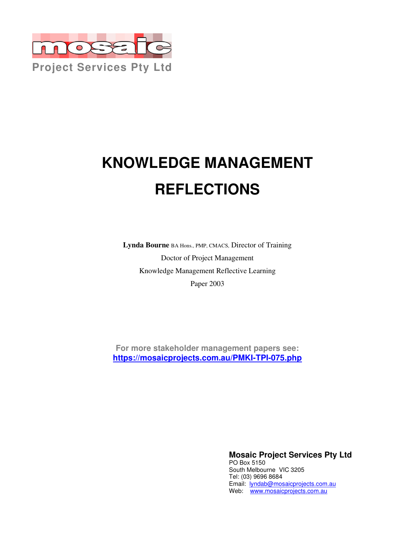

# **KNOWLEDGE MANAGEMENT REFLECTIONS**

**Lynda Bourne** BA Hons., PMP, CMACS, Director of Training Doctor of Project Management Knowledge Management Reflective Learning Paper 2003

**For more stakeholder management papers see: https://mosaicprojects.com.au/PMKI-TPI-075.php**

> **Mosaic Project Services Pty Ltd**  PO Box 5150

South Melbourne VIC 3205 Tel: (03) 9696 8684 Email: lyndab@mosaicprojects.com.au Web: www.mosaicprojects.com.au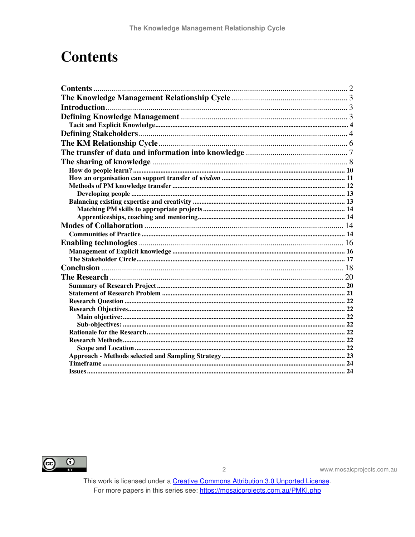## **Contents**



This work is licensed under a Creative Commons Attribution 3.0 Unported License. For more papers in this series see: https://mosaicprojects.com.au/PMKI.php

 $\sqrt{2}$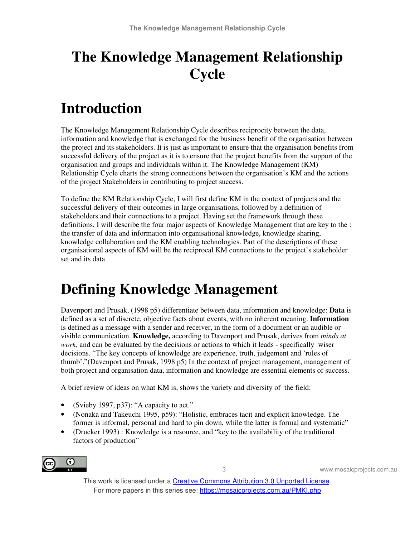## **The Knowledge Management Relationship Cycle**

## **Introduction**

The Knowledge Management Relationship Cycle describes reciprocity between the data, information and knowledge that is exchanged for the business benefit of the organisation between the project and its stakeholders. It is just as important to ensure that the organisation benefits from successful delivery of the project as it is to ensure that the project benefits from the support of the organisation and groups and individuals within it. The Knowledge Management (KM) Relationship Cycle charts the strong connections between the organisation's KM and the actions of the project Stakeholders in contributing to project success.

To define the KM Relationship Cycle, I will first define KM in the context of projects and the successful delivery of their outcomes in large organisations, followed by a definition of stakeholders and their connections to a project. Having set the framework through these definitions, I will describe the four major aspects of Knowledge Management that are key to the : the transfer of data and information into organisational knowledge, knowledge sharing, knowledge collaboration and the KM enabling technologies. Part of the descriptions of these organisational aspects of KM will be the reciprocal KM connections to the project's stakeholder set and its data.

## **Defining Knowledge Management**

Davenport and Prusak, (1998 p5) differentiate between data, information and knowledge: **Data** is defined as a set of discrete, objective facts about events, with no inherent meaning. **Information** is defined as a message with a sender and receiver, in the form of a document or an audible or visible communication. **Knowledge,** according to Davenport and Prusak, derives from *minds at work*, and can be evaluated by the decisions or actions to which it leads - specifically wiser decisions. "The key concepts of knowledge are experience, truth, judgement and 'rules of thumb'."(Davenport and Prusak, 1998 p5) In the context of project management, management of both project and organisation data, information and knowledge are essential elements of success.

A brief review of ideas on what KM is, shows the variety and diversity of the field:

- (Svieby 1997, p37): "A capacity to act."
- (Nonaka and Takeuchi 1995, p59): "Holistic, embraces tacit and explicit knowledge. The former is informal, personal and hard to pin down, while the latter is formal and systematic"
- (Drucker 1993): Knowledge is a resource, and "key to the availability of the traditional factors of production"



3 www.mosaicprojects.com.au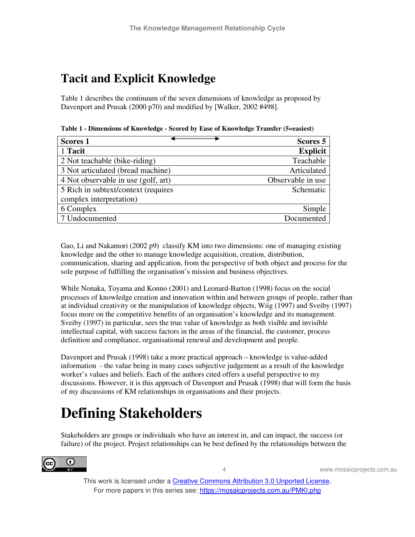### **Tacit and Explicit Knowledge**

Table 1 describes the continuum of the seven dimensions of knowledge as proposed by Davenport and Prusak (2000 p70) and modified by [Walker, 2002 #498].

**Table 1 - Dimensions of Knowledge - Scored by Ease of Knowledge Transfer (5=easiest)** 

| <b>Scores 1</b>                     | Scores <sub>5</sub> |
|-------------------------------------|---------------------|
| 1 Tacit                             | <b>Explicit</b>     |
| 2 Not teachable (bike-riding)       | Teachable           |
| 3 Not articulated (bread machine)   | Articulated         |
| 4 Not observable in use (golf, art) | Observable in use   |
| 5 Rich in subtext/context (requires | Schematic           |
| complex interpretation)             |                     |
| 6 Complex                           | Simple              |
| 7 Undocumented                      | Documented          |

Gao, Li and Nakamori (2002 p9) classify KM into two dimensions: one of managing existing knowledge and the other to manage knowledge acquisition, creation, distribution, communication, sharing and application, from the perspective of both object and process for the sole purpose of fulfilling the organisation's mission and business objectives.

While Nonaka, Toyama and Konno (2001) and Leonard-Barton (1998) focus on the social processes of knowledge creation and innovation within and between groups of people, rather than at individual creativity or the manipulation of knowledge objects, Wiig (1997) and Sveiby (1997) focus more on the competitive benefits of an organisation's knowledge and its management. Sveiby (1997) in particular, sees the true value of knowledge as both visible and invisible intellectual capital, with success factors in the areas of the financial, the customer, process definition and compliance, organisational renewal and development and people.

Davenport and Prusak (1998) take a more practical approach – knowledge is value-added information - the value being in many cases subjective judgement as a result of the knowledge worker's values and beliefs. Each of the authors cited offers a useful perspective to my discussions. However, it is this approach of Davenport and Prusak (1998) that will form the basis of my discussions of KM relationships in organisations and their projects.

## **Defining Stakeholders**

Stakeholders are groups or individuals who have an interest in, and can impact, the success (or failure) of the project. Project relationships can be best defined by the relationships between the



4 www.mosaicprojects.com.au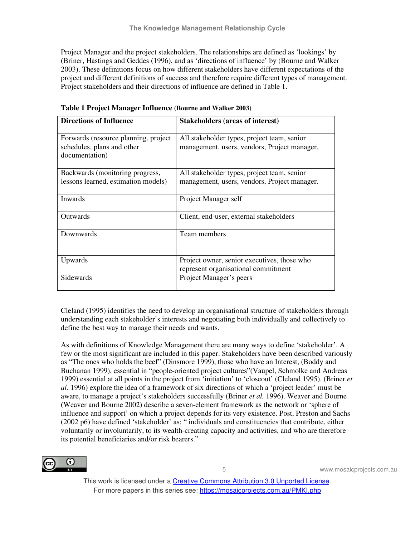Project Manager and the project stakeholders. The relationships are defined as 'lookings' by (Briner, Hastings and Geddes (1996), and as 'directions of influence' by (Bourne and Walker 2003). These definitions focus on how different stakeholders have different expectations of the project and different definitions of success and therefore require different types of management. Project stakeholders and their directions of influence are defined in Table 1.

| <b>Directions of Influence</b>                                                       | <b>Stakeholders (areas of interest)</b>                                                     |  |
|--------------------------------------------------------------------------------------|---------------------------------------------------------------------------------------------|--|
| Forwards (resource planning, project<br>schedules, plans and other<br>documentation) | All stakeholder types, project team, senior<br>management, users, vendors, Project manager. |  |
| Backwards (monitoring progress,                                                      | All stakeholder types, project team, senior                                                 |  |
| lessons learned, estimation models)                                                  | management, users, vendors, Project manager.                                                |  |
| Inwards                                                                              | Project Manager self                                                                        |  |
| Outwards                                                                             | Client, end-user, external stakeholders                                                     |  |
| Downwards                                                                            | Team members                                                                                |  |
| Upwards                                                                              | Project owner, senior executives, those who<br>represent organisational commitment          |  |
| Sidewards                                                                            | Project Manager's peers                                                                     |  |

**Table 1 Project Manager Influence (Bourne and Walker 2003)**

Cleland (1995) identifies the need to develop an organisational structure of stakeholders through understanding each stakeholder's interests and negotiating both individually and collectively to define the best way to manage their needs and wants.

As with definitions of Knowledge Management there are many ways to define 'stakeholder'. A few or the most significant are included in this paper. Stakeholders have been described variously as "The ones who holds the beef" (Dinsmore 1999), those who have an Interest, (Boddy and Buchanan 1999), essential in "people-oriented project cultures"(Vaupel, Schmolke and Andreas 1999) essential at all points in the project from 'initiation' to 'closeout' (Cleland 1995). (Briner *et al.* 1996) explore the idea of a framework of six directions of which a 'project leader' must be aware, to manage a project's stakeholders successfully (Briner *et al.* 1996). Weaver and Bourne (Weaver and Bourne 2002) describe a seven-element framework as the network or 'sphere of influence and support' on which a project depends for its very existence. Post, Preston and Sachs (2002 p6) have defined 'stakeholder' as: " individuals and constituencies that contribute, either voluntarily or involuntarily, to its wealth-creating capacity and activities, and who are therefore its potential beneficiaries and/or risk bearers."

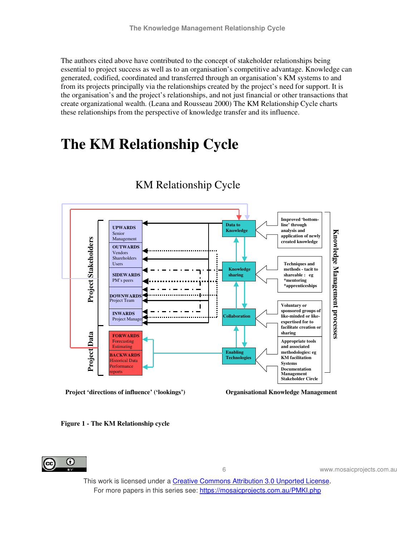The authors cited above have contributed to the concept of stakeholder relationships being essential to project success as well as to an organisation's competitive advantage. Knowledge can generated, codified, coordinated and transferred through an organisation's KM systems to and from its projects principally via the relationships created by the project's need for support. It is the organisation's and the project's relationships, and not just financial or other transactions that create organizational wealth. (Leana and Rousseau 2000) The KM Relationship Cycle charts these relationships from the perspective of knowledge transfer and its influence.

## **The KM Relationship Cycle**



KM Relationship Cycle

**Project 'directions of influence' ('lookings') Organisational Knowledge Management**





6 www.mosaicprojects.com.au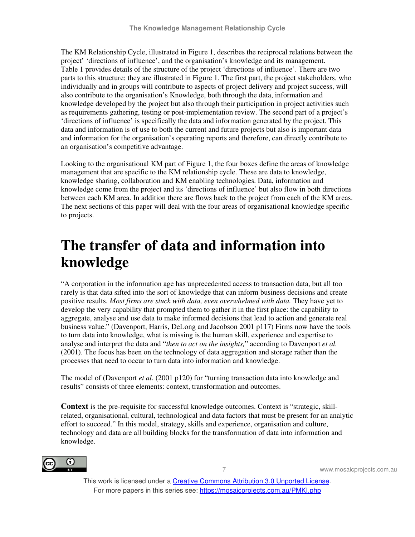The KM Relationship Cycle, illustrated in Figure 1, describes the reciprocal relations between the project' 'directions of influence', and the organisation's knowledge and its management. Table 1 provides details of the structure of the project 'directions of influence'. There are two parts to this structure; they are illustrated in Figure 1. The first part, the project stakeholders, who individually and in groups will contribute to aspects of project delivery and project success, will also contribute to the organisation's Knowledge, both through the data, information and knowledge developed by the project but also through their participation in project activities such as requirements gathering, testing or post-implementation review. The second part of a project's 'directions of influence' is specifically the data and information generated by the project. This data and information is of use to both the current and future projects but also is important data and information for the organisation's operating reports and therefore, can directly contribute to an organisation's competitive advantage.

Looking to the organisational KM part of Figure 1, the four boxes define the areas of knowledge management that are specific to the KM relationship cycle. These are data to knowledge, knowledge sharing, collaboration and KM enabling technologies. Data, information and knowledge come from the project and its 'directions of influence' but also flow in both directions between each KM area. In addition there are flows back to the project from each of the KM areas. The next sections of this paper will deal with the four areas of organisational knowledge specific to projects.

## **The transfer of data and information into knowledge**

"A corporation in the information age has unprecedented access to transaction data, but all too rarely is that data sifted into the sort of knowledge that can inform business decisions and create positive results. *Most firms are stuck with data, even overwhelmed with data.* They have yet to develop the very capability that prompted them to gather it in the first place: the capability to aggregate, analyse and use data to make informed decisions that lead to action and generate real business value." (Davenport, Harris, DeLong and Jacobson 2001 p117) Firms now have the tools to turn data into knowledge, what is missing is the human skill, experience and expertise to analyse and interpret the data and "*then to act on the insights,*" according to Davenport *et al.* (2001). The focus has been on the technology of data aggregation and storage rather than the processes that need to occur to turn data into information and knowledge.

The model of (Davenport *et al.* (2001 p120) for "turning transaction data into knowledge and results" consists of three elements: context, transformation and outcomes.

**Context** is the pre-requisite for successful knowledge outcomes. Context is "strategic, skillrelated, organisational, cultural, technological and data factors that must be present for an analytic effort to succeed." In this model, strategy, skills and experience, organisation and culture, technology and data are all building blocks for the transformation of data into information and knowledge.



7 www.mosaicprojects.com.au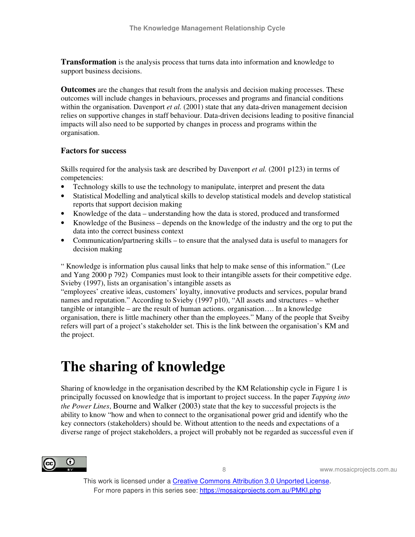**Transformation** is the analysis process that turns data into information and knowledge to support business decisions.

**Outcomes** are the changes that result from the analysis and decision making processes. These outcomes will include changes in behaviours, processes and programs and financial conditions within the organisation. Davenport *et al.* (2001) state that any data-driven management decision relies on supportive changes in staff behaviour. Data-driven decisions leading to positive financial impacts will also need to be supported by changes in process and programs within the organisation.

#### **Factors for success**

Skills required for the analysis task are described by Davenport *et al.* (2001 p123) in terms of competencies:

- Technology skills to use the technology to manipulate, interpret and present the data
- Statistical Modelling and analytical skills to develop statistical models and develop statistical reports that support decision making
- Knowledge of the data understanding how the data is stored, produced and transformed
- Knowledge of the Business depends on the knowledge of the industry and the org to put the data into the correct business context
- Communication/partnering skills to ensure that the analysed data is useful to managers for decision making

" Knowledge is information plus causal links that help to make sense of this information." (Lee and Yang 2000 p 792) Companies must look to their intangible assets for their competitive edge. Svieby (1997), lists an organisation's intangible assets as

"employees' creative ideas, customers' loyalty, innovative products and services, popular brand names and reputation." According to Svieby (1997 p10), "All assets and structures – whether tangible or intangible – are the result of human actions. organisation…. In a knowledge organisation, there is little machinery other than the employees." Many of the people that Sveiby refers will part of a project's stakeholder set. This is the link between the organisation's KM and the project.

## **The sharing of knowledge**

Sharing of knowledge in the organisation described by the KM Relationship cycle in Figure 1 is principally focussed on knowledge that is important to project success. In the paper *Tapping into the Power Lines*, Bourne and Walker (2003) state that the key to successful projects is the ability to know "how and when to connect to the organisational power grid and identify who the key connectors (stakeholders) should be. Without attention to the needs and expectations of a diverse range of project stakeholders, a project will probably not be regarded as successful even if



8 www.mosaicprojects.com.au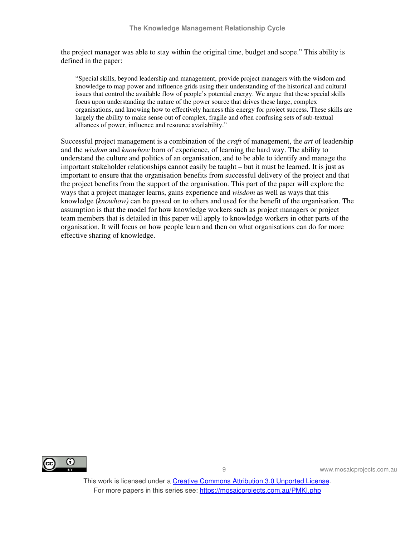the project manager was able to stay within the original time, budget and scope." This ability is defined in the paper:

"Special skills, beyond leadership and management, provide project managers with the wisdom and knowledge to map power and influence grids using their understanding of the historical and cultural issues that control the available flow of people's potential energy. We argue that these special skills focus upon understanding the nature of the power source that drives these large, complex organisations, and knowing how to effectively harness this energy for project success. These skills are largely the ability to make sense out of complex, fragile and often confusing sets of sub-textual alliances of power, influence and resource availability."

Successful project management is a combination of the *craft* of management, the *art* of leadership and the *wisdom* and *knowhow* born of experience, of learning the hard way. The ability to understand the culture and politics of an organisation, and to be able to identify and manage the important stakeholder relationships cannot easily be taught – but it must be learned. It is just as important to ensure that the organisation benefits from successful delivery of the project and that the project benefits from the support of the organisation. This part of the paper will explore the ways that a project manager learns, gains experience and *wisdom* as well as ways that this knowledge (*knowhow)* can be passed on to others and used for the benefit of the organisation. The assumption is that the model for how knowledge workers such as project managers or project team members that is detailed in this paper will apply to knowledge workers in other parts of the organisation. It will focus on how people learn and then on what organisations can do for more effective sharing of knowledge.



9 www.mosaicprojects.com.au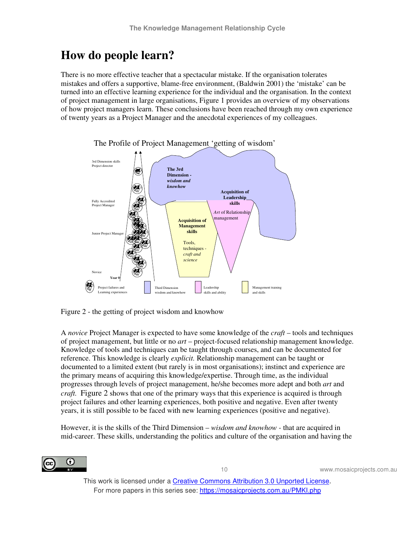## **How do people learn?**

There is no more effective teacher that a spectacular mistake. If the organisation tolerates mistakes and offers a supportive, blame-free environment, (Baldwin 2001) the 'mistake' can be turned into an effective learning experience for the individual and the organisation. In the context of project management in large organisations, Figure 1 provides an overview of my observations of how project managers learn. These conclusions have been reached through my own experience of twenty years as a Project Manager and the anecdotal experiences of my colleagues.



Figure 2 - the getting of project wisdom and knowhow

A *novice* Project Manager is expected to have some knowledge of the *craft* – tools and techniques of project management, but little or no *art* – project-focused relationship management knowledge. Knowledge of tools and techniques can be taught through courses, and can be documented for reference. This knowledge is clearly *explicit.* Relationship management can be taught or documented to a limited extent (but rarely is in most organisations); instinct and experience are the primary means of acquiring this knowledge/expertise. Through time, as the individual progresses through levels of project management, he/she becomes more adept and both *art* and *craft.* Figure 2 shows that one of the primary ways that this experience is acquired is through project failures and other learning experiences, both positive and negative. Even after twenty years, it is still possible to be faced with new learning experiences (positive and negative).

However, it is the skills of the Third Dimension – *wisdom and knowhow -* that are acquired in mid-career. These skills, understanding the politics and culture of the organisation and having the

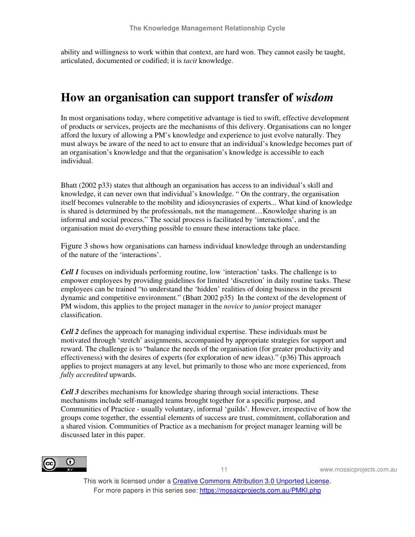ability and willingness to work within that context, are hard won. They cannot easily be taught, articulated, documented or codified; it is *tacit* knowledge.

### **How an organisation can support transfer of** *wisdom*

In most organisations today, where competitive advantage is tied to swift, effective development of products or services, projects are the mechanisms of this delivery. Organisations can no longer afford the luxury of allowing a PM's knowledge and experience to just evolve naturally. They must always be aware of the need to act to ensure that an individual's knowledge becomes part of an organisation's knowledge and that the organisation's knowledge is accessible to each individual.

Bhatt (2002 p33) states that although an organisation has access to an individual's skill and knowledge, it can never own that individual's knowledge. " On the contrary, the organisation itself becomes vulnerable to the mobility and idiosyncrasies of experts... What kind of knowledge is shared is determined by the professionals, not the management…Knowledge sharing is an informal and social process." The social process is facilitated by 'interactions', and the organisation must do everything possible to ensure these interactions take place.

Figure 3 shows how organisations can harness individual knowledge through an understanding of the nature of the 'interactions'.

*Cell 1* focuses on individuals performing routine, low 'interaction' tasks. The challenge is to empower employees by providing guidelines for limited 'discretion' in daily routine tasks. These employees can be trained "to understand the 'hidden' realities of doing business in the present dynamic and competitive environment." (Bhatt 2002 p35) In the context of the development of PM wisdom, this applies to the project manager in the *novice* to *junior* project manager classification.

*Cell 2* defines the approach for managing individual expertise. These individuals must be motivated through 'stretch' assignments, accompanied by appropriate strategies for support and reward. The challenge is to "balance the needs of the organisation (for greater productivity and effectiveness) with the desires of experts (for exploration of new ideas)." (p36) This approach applies to project managers at any level, but primarily to those who are more experienced, from *fully accredited* upwards.

*Cell 3* describes mechanisms for knowledge sharing through social interactions. These mechanisms include self-managed teams brought together for a specific purpose, and Communities of Practice - usually voluntary, informal 'guilds'. However, irrespective of how the groups come together, the essential elements of success are trust, commitment, collaboration and a shared vision. Communities of Practice as a mechanism for project manager learning will be discussed later in this paper.



11 www.mosaicprojects.com.au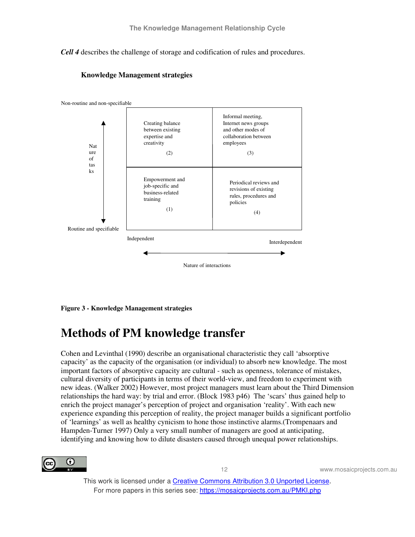*Cell 4* describes the challenge of storage and codification of rules and procedures.





**Figure 3 - Knowledge Management strategies** 

### **Methods of PM knowledge transfer**

Cohen and Levinthal (1990) describe an organisational characteristic they call 'absorptive capacity' as the capacity of the organisation (or individual) to absorb new knowledge. The most important factors of absorptive capacity are cultural - such as openness, tolerance of mistakes, cultural diversity of participants in terms of their world-view, and freedom to experiment with new ideas. (Walker 2002) However, most project managers must learn about the Third Dimension relationships the hard way: by trial and error. (Block 1983 p46) The 'scars' thus gained help to enrich the project manager's perception of project and organisation 'reality'. With each new experience expanding this perception of reality, the project manager builds a significant portfolio of 'learnings' as well as healthy cynicism to hone those instinctive alarms.(Trompenaars and Hampden-Turner 1997) Only a very small number of managers are good at anticipating, identifying and knowing how to dilute disasters caused through unequal power relationships.



12 www.mosaicprojects.com.au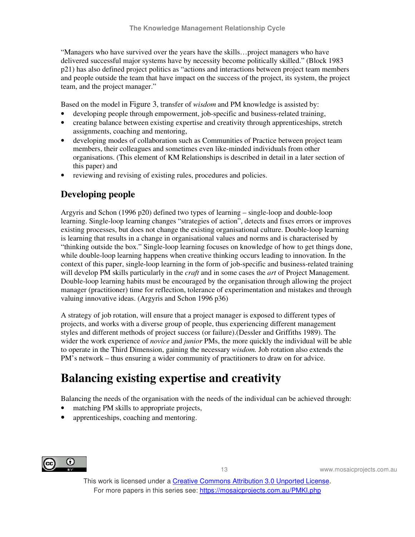"Managers who have survived over the years have the skills…project managers who have delivered successful major systems have by necessity become politically skilled." (Block 1983 p21) has also defined project politics as "actions and interactions between project team members and people outside the team that have impact on the success of the project, its system, the project team, and the project manager."

Based on the model in Figure 3, transfer of *wisdom* and PM knowledge is assisted by:

- developing people through empowerment, job-specific and business-related training,
- creating balance between existing expertise and creativity through apprenticeships, stretch assignments, coaching and mentoring,
- developing modes of collaboration such as Communities of Practice between project team members, their colleagues and sometimes even like-minded individuals from other organisations. (This element of KM Relationships is described in detail in a later section of this paper) and
- reviewing and revising of existing rules, procedures and policies.

#### **Developing people**

Argyris and Schon (1996 p20) defined two types of learning – single-loop and double-loop learning. Single-loop learning changes "strategies of action", detects and fixes errors or improves existing processes, but does not change the existing organisational culture. Double-loop learning is learning that results in a change in organisational values and norms and is characterised by "thinking outside the box." Single-loop learning focuses on knowledge of how to get things done, while double-loop learning happens when creative thinking occurs leading to innovation. In the context of this paper, single-loop learning in the form of job-specific and business-related training will develop PM skills particularly in the *craft* and in some cases the *art* of Project Management. Double-loop learning habits must be encouraged by the organisation through allowing the project manager (practitioner) time for reflection, tolerance of experimentation and mistakes and through valuing innovative ideas. (Argyris and Schon 1996 p36)

A strategy of job rotation, will ensure that a project manager is exposed to different types of projects, and works with a diverse group of people, thus experiencing different management styles and different methods of project success (or failure).(Dessler and Griffiths 1989). The wider the work experience of *novice* and *junior* PMs, the more quickly the individual will be able to operate in the Third Dimension, gaining the necessary *wisdom.* Job rotation also extends the PM's network – thus ensuring a wider community of practitioners to draw on for advice.

## **Balancing existing expertise and creativity**

Balancing the needs of the organisation with the needs of the individual can be achieved through:

- matching PM skills to appropriate projects,
- apprenticeships, coaching and mentoring.



13 www.mosaicprojects.com.au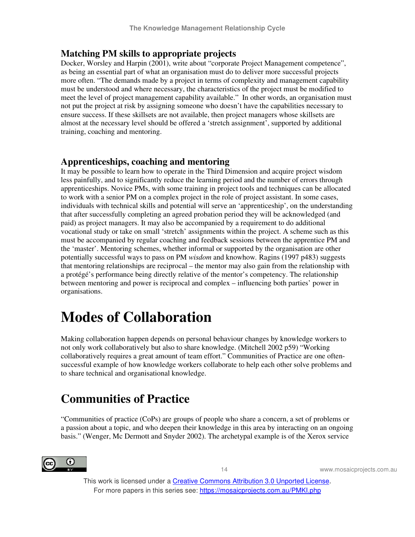#### **Matching PM skills to appropriate projects**

Docker, Worsley and Harpin (2001), write about "corporate Project Management competence", as being an essential part of what an organisation must do to deliver more successful projects more often. "The demands made by a project in terms of complexity and management capability must be understood and where necessary, the characteristics of the project must be modified to meet the level of project management capability available." In other words, an organisation must not put the project at risk by assigning someone who doesn't have the capabilities necessary to ensure success. If these skillsets are not available, then project managers whose skillsets are almost at the necessary level should be offered a 'stretch assignment', supported by additional training, coaching and mentoring.

#### **Apprenticeships, coaching and mentoring**

It may be possible to learn how to operate in the Third Dimension and acquire project wisdom less painfully, and to significantly reduce the learning period and the number of errors through apprenticeships. Novice PMs, with some training in project tools and techniques can be allocated to work with a senior PM on a complex project in the role of project assistant. In some cases, individuals with technical skills and potential will serve an 'apprenticeship', on the understanding that after successfully completing an agreed probation period they will be acknowledged (and paid) as project managers. It may also be accompanied by a requirement to do additional vocational study or take on small 'stretch' assignments within the project. A scheme such as this must be accompanied by regular coaching and feedback sessions between the apprentice PM and the 'master'. Mentoring schemes, whether informal or supported by the organisation are other potentially successful ways to pass on PM *wisdom* and knowhow*.* Ragins (1997 p483) suggests that mentoring relationships are reciprocal – the mentor may also gain from the relationship with a protégé's performance being directly relative of the mentor's competency. The relationship between mentoring and power is reciprocal and complex – influencing both parties' power in organisations.

## **Modes of Collaboration**

Making collaboration happen depends on personal behaviour changes by knowledge workers to not only work collaboratively but also to share knowledge. (Mitchell 2002 p59) "Working collaboratively requires a great amount of team effort." Communities of Practice are one oftensuccessful example of how knowledge workers collaborate to help each other solve problems and to share technical and organisational knowledge.

### **Communities of Practice**

"Communities of practice (CoPs) are groups of people who share a concern, a set of problems or a passion about a topic, and who deepen their knowledge in this area by interacting on an ongoing basis." (Wenger, Mc Dermott and Snyder 2002). The archetypal example is of the Xerox service



14 www.mosaicprojects.com.au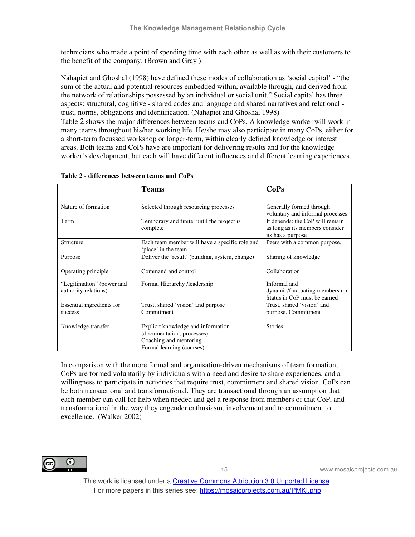technicians who made a point of spending time with each other as well as with their customers to the benefit of the company. (Brown and Gray ).

Nahapiet and Ghoshal (1998) have defined these modes of collaboration as 'social capital' - "the sum of the actual and potential resources embedded within, available through, and derived from the network of relationships possessed by an individual or social unit." Social capital has three aspects: structural, cognitive - shared codes and language and shared narratives and relational trust, norms, obligations and identification. (Nahapiet and Ghoshal 1998)

Table 2 shows the major differences between teams and CoPs. A knowledge worker will work in many teams throughout his/her working life. He/she may also participate in many CoPs, either for a short-term focussed workshop or longer-term, within clearly defined knowledge or interest areas. Both teams and CoPs have are important for delivering results and for the knowledge worker's development, but each will have different influences and different learning experiences.

|                                                   | <b>Teams</b>                                                                                                            | CoPs                                                                                    |
|---------------------------------------------------|-------------------------------------------------------------------------------------------------------------------------|-----------------------------------------------------------------------------------------|
| Nature of formation                               | Selected through resourcing processes                                                                                   | Generally formed through<br>voluntary and informal processes                            |
| Term                                              | Temporary and finite: until the project is<br>complete                                                                  | It depends: the CoP will remain<br>as long as its members consider<br>its has a purpose |
| Structure                                         | Each team member will have a specific role and<br>'place' in the team                                                   | Peers with a common purpose.                                                            |
| Purpose                                           | Deliver the 'result' (building, system, change)                                                                         | Sharing of knowledge                                                                    |
| Operating principle                               | Command and control                                                                                                     | Collaboration                                                                           |
| "Legitimation" (power and<br>authority relations) | Formal Hierarchy /leadership                                                                                            | Informal and<br>dynamic/fluctuating membership<br>Status in CoP must be earned          |
| Essential ingredients for<br>success              | Trust, shared 'vision' and purpose<br>Commitment                                                                        | Trust, shared 'vision' and<br>purpose. Commitment                                       |
| Knowledge transfer                                | Explicit knowledge and information<br>(documentation, processes)<br>Coaching and mentoring<br>Formal learning (courses) | <b>Stories</b>                                                                          |

**Table 2 - differences between teams and CoPs** 

In comparison with the more formal and organisation-driven mechanisms of team formation, CoPs are formed voluntarily by individuals with a need and desire to share experiences, and a willingness to participate in activities that require trust, commitment and shared vision. CoPs can be both transactional and transformational. They are transactional through an assumption that each member can call for help when needed and get a response from members of that CoP, and transformational in the way they engender enthusiasm, involvement and to commitment to excellence. (Walker 2002)



15 www.mosaicprojects.com.au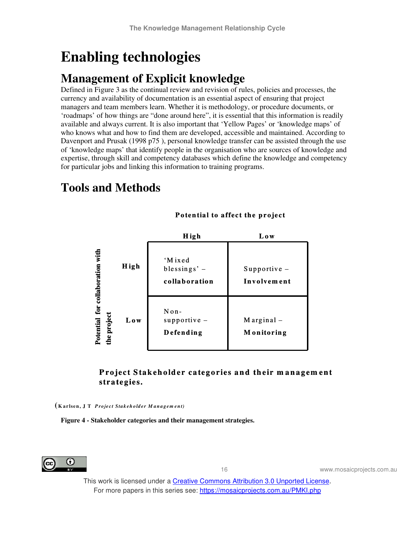## **Enabling technologies**

### **Management of Explicit knowledge**

Defined in Figure 3 as the continual review and revision of rules, policies and processes, the currency and availability of documentation is an essential aspect of ensuring that project managers and team members learn. Whether it is methodology, or procedure documents, or 'roadmaps' of how things are "done around here", it is essential that this information is readily available and always current. It is also important that 'Yellow Pages' or 'knowledge maps' of who knows what and how to find them are developed, accessible and maintained. According to Davenport and Prusak (1998 p75 ), personal knowledge transfer can be assisted through the use of 'knowledge maps' that identify people in the organisation who are sources of knowledge and expertise, through skill and competency databases which define the knowledge and competency for particular jobs and linking this information to training programs.

Potential to affect the project



### **Tools and Methods**

#### **Project Stakeholder categories and their management** strategies.

**(K a rlsen , J T** *P ro je ct S ta k eh o ld e r M a n a g em en t)*

**Figure 4 - Stakeholder categories and their management strategies.** 



16 www.mosaicprojects.com.au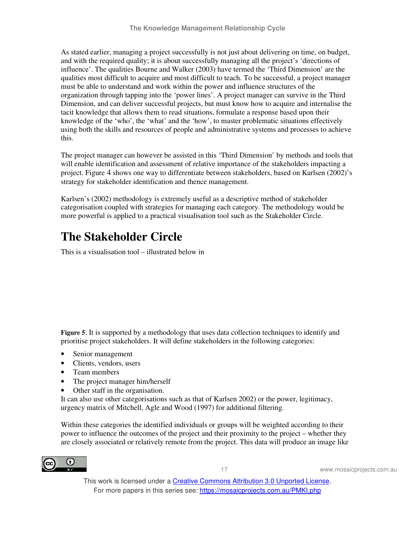As stated earlier, managing a project successfully is not just about delivering on time, on budget, and with the required quality; it is about successfully managing all the project's 'directions of influence'. The qualities Bourne and Walker (2003) have termed the 'Third Dimension' are the qualities most difficult to acquire and most difficult to teach. To be successful, a project manager must be able to understand and work within the power and influence structures of the organization through tapping into the 'power lines'. A project manager can survive in the Third Dimension, and can deliver successful projects, but must know how to acquire and internalise the tacit knowledge that allows them to read situations, formulate a response based upon their knowledge of the 'who', the 'what' and the 'how', to master problematic situations effectively using both the skills and resources of people and administrative systems and processes to achieve this.

The project manager can however be assisted in this 'Third Dimension' by methods and tools that will enable identification and assessment of relative importance of the stakeholders impacting a project. Figure 4 shows one way to differentiate between stakeholders, based on Karlsen (2002)'s strategy for stakeholder identification and thence management.

Karlsen's (2002) methodology is extremely useful as a descriptive method of stakeholder categorisation coupled with strategies for managing each category. The methodology would be more powerful is applied to a practical visualisation tool such as the Stakeholder Circle.

## **The Stakeholder Circle**

This is a visualisation tool – illustrated below in

**Figure 5**. It is supported by a methodology that uses data collection techniques to identify and prioritise project stakeholders. It will define stakeholders in the following categories:

- Senior management
- Clients, vendors, users
- Team members
- The project manager him/herself
- Other staff in the organisation.

It can also use other categorisations such as that of Karlsen 2002) or the power, legitimacy, urgency matrix of Mitchell, Agle and Wood (1997) for additional filtering.

Within these categories the identified individuals or groups will be weighted according to their power to influence the outcomes of the project and their proximity to the project – whether they are closely associated or relatively remote from the project. This data will produce an image like



17 www.mosaicprojects.com.au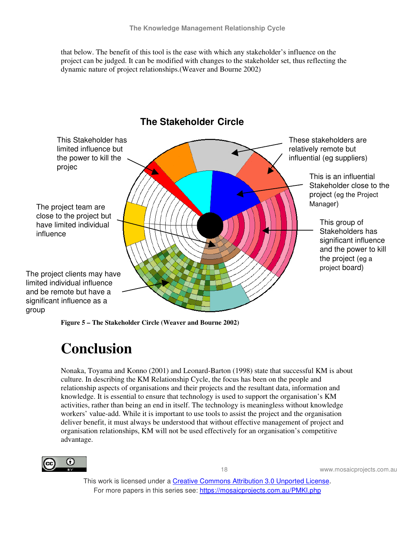that below. The benefit of this tool is the ease with which any stakeholder's influence on the project can be judged. It can be modified with changes to the stakeholder set, thus reflecting the dynamic nature of project relationships.(Weaver and Bourne 2002)



**Figure 5 – The Stakeholder Circle (Weaver and Bourne 2002)** 

## **Conclusion**

Nonaka, Toyama and Konno (2001) and Leonard-Barton (1998) state that successful KM is about culture. In describing the KM Relationship Cycle, the focus has been on the people and relationship aspects of organisations and their projects and the resultant data, information and knowledge. It is essential to ensure that technology is used to support the organisation's KM activities, rather than being an end in itself. The technology is meaningless without knowledge workers' value-add. While it is important to use tools to assist the project and the organisation deliver benefit, it must always be understood that without effective management of project and organisation relationships, KM will not be used effectively for an organisation's competitive advantage.

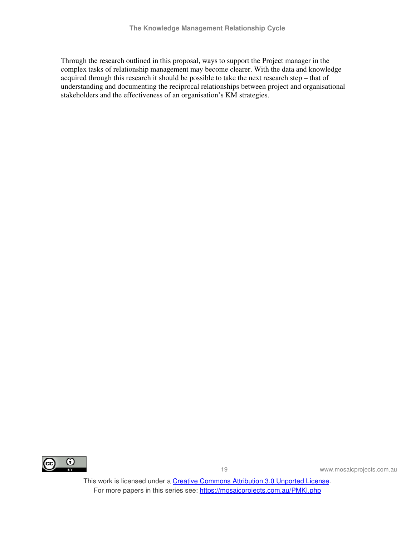Through the research outlined in this proposal, ways to support the Project manager in the complex tasks of relationship management may become clearer. With the data and knowledge acquired through this research it should be possible to take the next research step – that of understanding and documenting the reciprocal relationships between project and organisational stakeholders and the effectiveness of an organisation's KM strategies.



19 www.mosaicprojects.com.au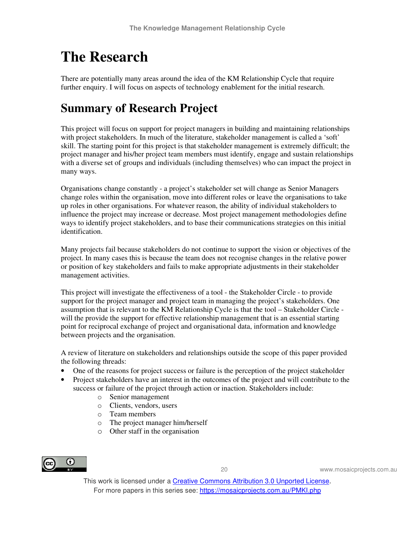## **The Research**

There are potentially many areas around the idea of the KM Relationship Cycle that require further enquiry. I will focus on aspects of technology enablement for the initial research.

## **Summary of Research Project**

This project will focus on support for project managers in building and maintaining relationships with project stakeholders. In much of the literature, stakeholder management is called a 'soft' skill. The starting point for this project is that stakeholder management is extremely difficult; the project manager and his/her project team members must identify, engage and sustain relationships with a diverse set of groups and individuals (including themselves) who can impact the project in many ways.

Organisations change constantly - a project's stakeholder set will change as Senior Managers change roles within the organisation, move into different roles or leave the organisations to take up roles in other organisations. For whatever reason, the ability of individual stakeholders to influence the project may increase or decrease. Most project management methodologies define ways to identify project stakeholders, and to base their communications strategies on this initial identification.

Many projects fail because stakeholders do not continue to support the vision or objectives of the project. In many cases this is because the team does not recognise changes in the relative power or position of key stakeholders and fails to make appropriate adjustments in their stakeholder management activities.

This project will investigate the effectiveness of a tool - the Stakeholder Circle - to provide support for the project manager and project team in managing the project's stakeholders. One assumption that is relevant to the KM Relationship Cycle is that the tool – Stakeholder Circle will the provide the support for effective relationship management that is an essential starting point for reciprocal exchange of project and organisational data, information and knowledge between projects and the organisation.

A review of literature on stakeholders and relationships outside the scope of this paper provided the following threads:

- One of the reasons for project success or failure is the perception of the project stakeholder
- Project stakeholders have an interest in the outcomes of the project and will contribute to the success or failure of the project through action or inaction. Stakeholders include:
	- o Senior management
	- o Clients, vendors, users
	- o Team members
	- o The project manager him/herself
	- o Other staff in the organisation



20 www.mosaicprojects.com.au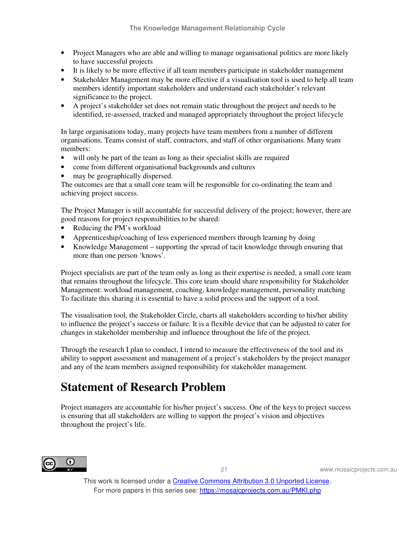- Project Managers who are able and willing to manage organisational politics are more likely to have successful projects
- It is likely to be more effective if all team members participate in stakeholder management
- Stakeholder Management may be more effective if a visualisation tool is used to help all team members identify important stakeholders and understand each stakeholder's relevant significance to the project.
- A project's stakeholder set does not remain static throughout the project and needs to be identified, re-assessed, tracked and managed appropriately throughout the project lifecycle

In large organisations today, many projects have team members from a number of different organisations. Teams consist of staff, contractors, and staff of other organisations. Many team members:

- will only be part of the team as long as their specialist skills are required
- come from different organisational backgrounds and cultures
- may be geographically dispersed.

The outcomes are that a small core team will be responsible for co-ordinating the team and achieving project success.

The Project Manager is still accountable for successful delivery of the project; however, there are good reasons for project responsibilities to be shared:

- Reducing the PM's workload
- Apprenticeship/coaching of less experienced members through learning by doing
- Knowledge Management supporting the spread of tacit knowledge through ensuring that more than one person 'knows'.

Project specialists are part of the team only as long as their expertise is needed, a small core team that remains throughout the lifecycle. This core team should share responsibility for Stakeholder Management: workload management, coaching, knowledge management, personality matching To facilitate this sharing it is essential to have a solid process and the support of a tool.

The visualisation tool, the Stakeholder Circle, charts all stakeholders according to his/her ability to influence the project's success or failure. It is a flexible device that can be adjusted to cater for changes in stakeholder membership and influence throughout the life of the project.

Through the research I plan to conduct, I intend to measure the effectiveness of the tool and its ability to support assessment and management of a project's stakeholders by the project manager and any of the team members assigned responsibility for stakeholder management.

### **Statement of Research Problem**

Project managers are accountable for his/her project's success. One of the keys to project success is ensuring that all stakeholders are willing to support the project's vision and objectives throughout the project's life.



21 www.mosaicprojects.com.au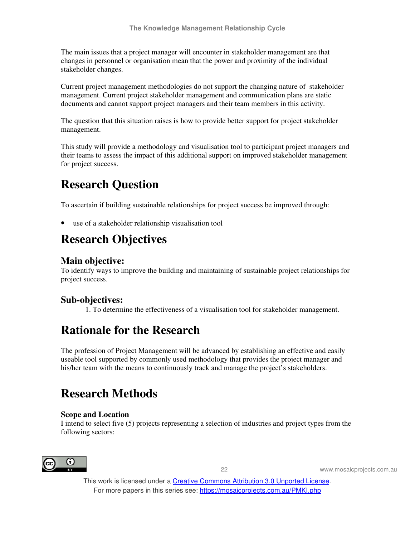The main issues that a project manager will encounter in stakeholder management are that changes in personnel or organisation mean that the power and proximity of the individual stakeholder changes.

Current project management methodologies do not support the changing nature of stakeholder management. Current project stakeholder management and communication plans are static documents and cannot support project managers and their team members in this activity.

The question that this situation raises is how to provide better support for project stakeholder management.

This study will provide a methodology and visualisation tool to participant project managers and their teams to assess the impact of this additional support on improved stakeholder management for project success.

### **Research Question**

To ascertain if building sustainable relationships for project success be improved through:

• use of a stakeholder relationship visualisation tool

### **Research Objectives**

#### **Main objective:**

To identify ways to improve the building and maintaining of sustainable project relationships for project success.

#### **Sub-objectives:**

1. To determine the effectiveness of a visualisation tool for stakeholder management.

### **Rationale for the Research**

The profession of Project Management will be advanced by establishing an effective and easily useable tool supported by commonly used methodology that provides the project manager and his/her team with the means to continuously track and manage the project's stakeholders.

### **Research Methods**

#### **Scope and Location**

I intend to select five (5) projects representing a selection of industries and project types from the following sectors:



22 www.mosaicprojects.com.au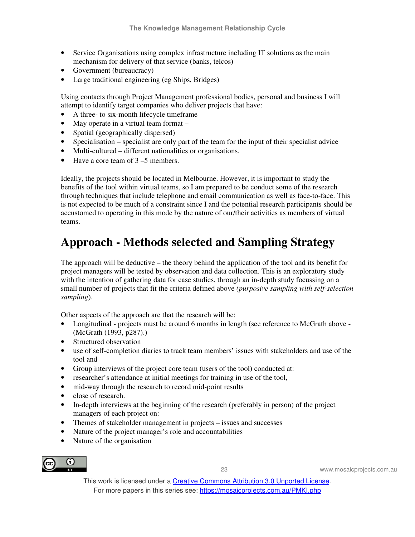- Service Organisations using complex infrastructure including IT solutions as the main mechanism for delivery of that service (banks, telcos)
- Government (bureaucracy)
- Large traditional engineering (eg Ships, Bridges)

Using contacts through Project Management professional bodies, personal and business I will attempt to identify target companies who deliver projects that have:

- A three- to six-month lifecycle timeframe
- May operate in a virtual team format –
- Spatial (geographically dispersed)
- Specialisation specialist are only part of the team for the input of their specialist advice
- Multi-cultured different nationalities or organisations.
- Have a core team of 3 5 members.

Ideally, the projects should be located in Melbourne. However, it is important to study the benefits of the tool within virtual teams, so I am prepared to be conduct some of the research through techniques that include telephone and email communication as well as face-to-face. This is not expected to be much of a constraint since I and the potential research participants should be accustomed to operating in this mode by the nature of our/their activities as members of virtual teams.

### **Approach - Methods selected and Sampling Strategy**

The approach will be deductive – the theory behind the application of the tool and its benefit for project managers will be tested by observation and data collection. This is an exploratory study with the intention of gathering data for case studies, through an in-depth study focussing on a small number of projects that fit the criteria defined above *(purposive sampling with self-selection sampling*).

Other aspects of the approach are that the research will be:

- Longitudinal projects must be around 6 months in length (see reference to McGrath above -(McGrath (1993, p287).)
- Structured observation
- use of self-completion diaries to track team members' issues with stakeholders and use of the tool and
- Group interviews of the project core team (users of the tool) conducted at:
- researcher's attendance at initial meetings for training in use of the tool,
- mid-way through the research to record mid-point results
- close of research.
- In-depth interviews at the beginning of the research (preferably in person) of the project managers of each project on:
- Themes of stakeholder management in projects issues and successes
- Nature of the project manager's role and accountabilities
- Nature of the organisation



23 www.mosaicprojects.com.au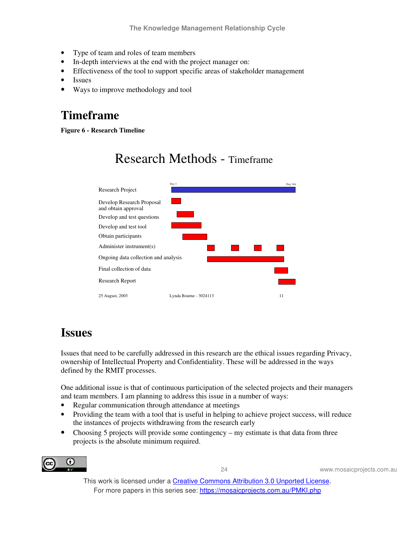- Type of team and roles of team members
- In-depth interviews at the end with the project manager on:
- Effectiveness of the tool to support specific areas of stakeholder management
- Issues
- Ways to improve methodology and tool

## **Timeframe**

**Figure 6 - Research Timeline**



## Research Methods - Timeframe

### **Issues**

Issues that need to be carefully addressed in this research are the ethical issues regarding Privacy, ownership of Intellectual Property and Confidentiality. These will be addressed in the ways defined by the RMIT processes.

One additional issue is that of continuous participation of the selected projects and their managers and team members. I am planning to address this issue in a number of ways:

- Regular communication through attendance at meetings
- Providing the team with a tool that is useful in helping to achieve project success, will reduce the instances of projects withdrawing from the research early
- Choosing 5 projects will provide some contingency my estimate is that data from three projects is the absolute minimum required.



24 www.mosaicprojects.com.au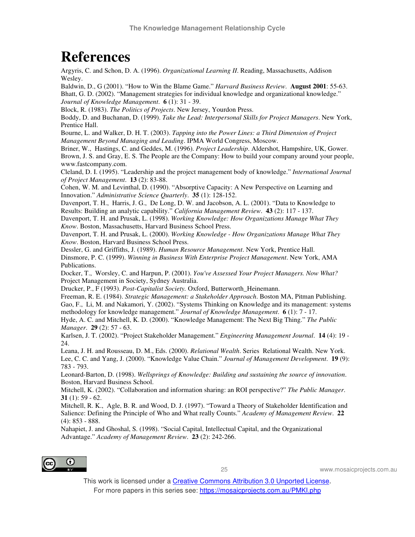## **References**

Argyris, C. and Schon, D. A. (1996). *Organizational Learning II*. Reading, Massachusetts, Addison Wesley.

Baldwin, D., G (2001). "How to Win the Blame Game." *Harvard Business Review*. **August 2001**: 55-63. Bhatt, G. D. (2002). "Management strategies for individual knowledge and organizational knowledge." *Journal of Knowledge Management*. **6** (1): 31 - 39.

Block, R. (1983). *The Politics of Projects*. New Jersey, Yourdon Press.

Boddy, D. and Buchanan, D. (1999). *Take the Lead: Interpersonal Skills for Project Managers*. New York, Prentice Hall.

Bourne, L. and Walker, D. H. T. (2003). *Tapping into the Power Lines: a Third Dimension of Project Management Beyond Managing and Leading*. IPMA World Congress, Moscow.

Briner, W., Hastings, C. and Geddes, M. (1996). *Project Leadership*. Aldershot, Hampshire, UK, Gower. Brown, J. S. and Gray, E. S. The People are the Company: How to build your company around your people, www.fastcompany.com.

Cleland, D. I. (1995). "Leadership and the project management body of knowledge." *International Journal of Project Management*. **13** (2): 83-88.

Cohen, W. M. and Levinthal, D. (1990). "Absorptive Capacity: A New Perspective on Learning and Innovation." *Administrative Science Quarterly*. **35** (1): 128-152.

Davenport, T. H., Harris, J. G., De Long, D. W. and Jacobson, A. L. (2001). "Data to Knowledge to Results: Building an analytic capability." *California Management Review*. **43** (2): 117 - 137.

Davenport, T. H. and Prusak, L. (1998). *Working Knowledge: How Organizations Manage What They Know*. Boston, Massachusetts, Harvard Business School Press.

Davenport, T. H. and Prusak, L. (2000). *Working Knowledge - How Organizations Manage What They Know*. Boston, Harvard Business School Press.

Dessler, G. and Griffiths, J. (1989). *Human Resource Management*. New York, Prentice Hall. Dinsmore, P. C. (1999). *Winning in Business With Enterprise Project Management*. New York, AMA Publications.

Docker, T., Worsley, C. and Harpun, P. (2001). *You've Assessed Your Project Managers. Now What?* Project Management in Society, Sydney Australia.

Drucker, P., F (1993). *Post-Capitalist Society.* Oxford, Butterworth\_Heinemann.

Freeman, R. E. (1984). *Strategic Management: a Stakeholder Approach*. Boston MA, Pitman Publishing. Gao, F., Li, M. and Nakamori, Y. (2002). "Systems Thinking on Knowledge and its management: systems methodology for knowledge management." *Journal of Knowledge Management*. **6** (1): 7 - 17.

Hyde, A. C. and Mitchell, K. D. (2000). "Knowledge Management: The Next Big Thing." *The Public Manager*. **29** (2): 57 - 63.

Karlsen, J. T. (2002). "Project Stakeholder Management." *Engineering Management Journal*. **14** (4): 19 - 24

Leana, J. H. and Rousseau, D. M., Eds. (2000). *Relational Wealth*. Series Relational Wealth. New York. Lee, C. C. and Yang, J. (2000). "Knowledge Value Chain." *Journal of Management Development*. **19** (9): 783 - 793.

Leonard-Barton, D. (1998). *Wellsprings of Knowledge: Building and sustaining the source of innovation*. Boston, Harvard Business School.

Mitchell, K. (2002). "Collaboration and information sharing: an ROI perspective?" *The Public Manager*. **31** (1): 59 - 62.

Mitchell, R. K., Agle, B. R. and Wood, D. J. (1997). "Toward a Theory of Stakeholder Identification and Salience: Defining the Principle of Who and What really Counts." *Academy of Management Review*. **22** (4): 853 - 888.

Nahapiet, J. and Ghoshal, S. (1998). "Social Capital, Intellectual Capital, and the Organizational Advantage." *Academy of Management Review*. **23** (2): 242-266.



25 www.mosaicprojects.com.au